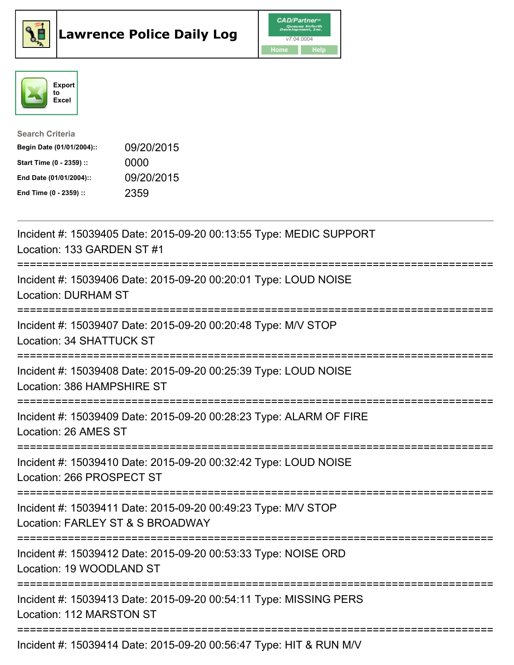





| <b>Search Criteria</b>    |            |
|---------------------------|------------|
| Begin Date (01/01/2004):: | 09/20/2015 |
| Start Time (0 - 2359) ::  | 0000       |
| End Date (01/01/2004)::   | 09/20/2015 |
| End Time (0 - 2359) ::    | 2359       |

| Incident #: 15039405 Date: 2015-09-20 00:13:55 Type: MEDIC SUPPORT<br>Location: 133 GARDEN ST #1                    |
|---------------------------------------------------------------------------------------------------------------------|
| Incident #: 15039406 Date: 2015-09-20 00:20:01 Type: LOUD NOISE<br><b>Location: DURHAM ST</b><br>------------------ |
| Incident #: 15039407 Date: 2015-09-20 00:20:48 Type: M/V STOP<br>Location: 34 SHATTUCK ST<br>:=================     |
| Incident #: 15039408 Date: 2015-09-20 00:25:39 Type: LOUD NOISE<br>Location: 386 HAMPSHIRE ST<br>---------------    |
| Incident #: 15039409 Date: 2015-09-20 00:28:23 Type: ALARM OF FIRE<br>Location: 26 AMES ST                          |
| Incident #: 15039410 Date: 2015-09-20 00:32:42 Type: LOUD NOISE<br>Location: 266 PROSPECT ST                        |
| Incident #: 15039411 Date: 2015-09-20 00:49:23 Type: M/V STOP<br>Location: FARLEY ST & S BROADWAY                   |
| Incident #: 15039412 Date: 2015-09-20 00:53:33 Type: NOISE ORD<br>Location: 19 WOODLAND ST                          |
| Incident #: 15039413 Date: 2015-09-20 00:54:11 Type: MISSING PERS<br>Location: 112 MARSTON ST                       |
| Incident #: 15039414 Date: 2015-09-20 00:56:47 Type: HIT & RUN M/V                                                  |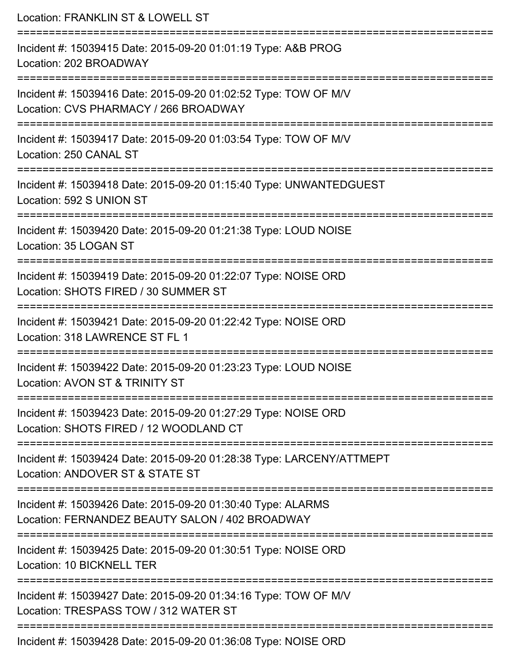| Location: FRANKLIN ST & LOWELL ST                                                                                                             |
|-----------------------------------------------------------------------------------------------------------------------------------------------|
| Incident #: 15039415 Date: 2015-09-20 01:01:19 Type: A&B PROG<br>Location: 202 BROADWAY                                                       |
| Incident #: 15039416 Date: 2015-09-20 01:02:52 Type: TOW OF M/V<br>Location: CVS PHARMACY / 266 BROADWAY                                      |
| Incident #: 15039417 Date: 2015-09-20 01:03:54 Type: TOW OF M/V<br>Location: 250 CANAL ST                                                     |
| Incident #: 15039418 Date: 2015-09-20 01:15:40 Type: UNWANTEDGUEST<br>Location: 592 S UNION ST                                                |
| Incident #: 15039420 Date: 2015-09-20 01:21:38 Type: LOUD NOISE<br>Location: 35 LOGAN ST                                                      |
| Incident #: 15039419 Date: 2015-09-20 01:22:07 Type: NOISE ORD<br>Location: SHOTS FIRED / 30 SUMMER ST                                        |
| Incident #: 15039421 Date: 2015-09-20 01:22:42 Type: NOISE ORD<br>Location: 318 LAWRENCE ST FL 1                                              |
| Incident #: 15039422 Date: 2015-09-20 01:23:23 Type: LOUD NOISE<br>Location: AVON ST & TRINITY ST                                             |
| ---------------------------------<br>Incident #: 15039423 Date: 2015-09-20 01:27:29 Type: NOISE ORD<br>Location: SHOTS FIRED / 12 WOODLAND CT |
| Incident #: 15039424 Date: 2015-09-20 01:28:38 Type: LARCENY/ATTMEPT<br>Location: ANDOVER ST & STATE ST                                       |
| Incident #: 15039426 Date: 2015-09-20 01:30:40 Type: ALARMS<br>Location: FERNANDEZ BEAUTY SALON / 402 BROADWAY                                |
| Incident #: 15039425 Date: 2015-09-20 01:30:51 Type: NOISE ORD<br>Location: 10 BICKNELL TER                                                   |
| Incident #: 15039427 Date: 2015-09-20 01:34:16 Type: TOW OF M/V<br>Location: TRESPASS TOW / 312 WATER ST                                      |
| Incident #: 15039428 Date: 2015-09-20 01:36:08 Type: NOISE ORD                                                                                |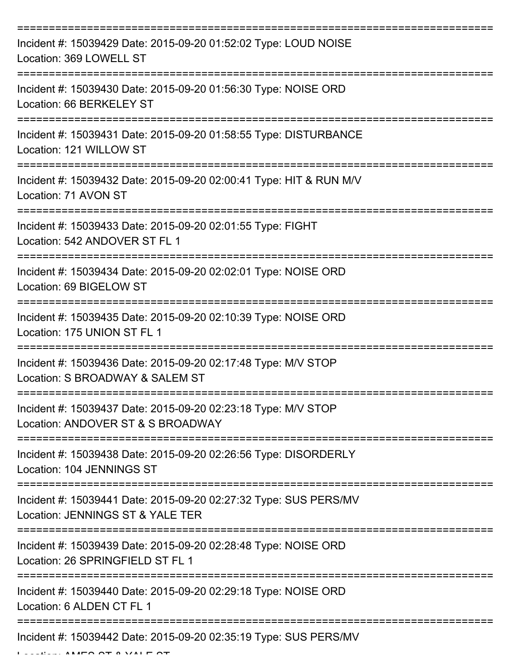| Incident #: 15039429 Date: 2015-09-20 01:52:02 Type: LOUD NOISE<br>Location: 369 LOWELL ST           |
|------------------------------------------------------------------------------------------------------|
| Incident #: 15039430 Date: 2015-09-20 01:56:30 Type: NOISE ORD<br>Location: 66 BERKELEY ST           |
| Incident #: 15039431 Date: 2015-09-20 01:58:55 Type: DISTURBANCE<br>Location: 121 WILLOW ST          |
| Incident #: 15039432 Date: 2015-09-20 02:00:41 Type: HIT & RUN M/V<br>Location: 71 AVON ST           |
| Incident #: 15039433 Date: 2015-09-20 02:01:55 Type: FIGHT<br>Location: 542 ANDOVER ST FL 1          |
| Incident #: 15039434 Date: 2015-09-20 02:02:01 Type: NOISE ORD<br>Location: 69 BIGELOW ST            |
| Incident #: 15039435 Date: 2015-09-20 02:10:39 Type: NOISE ORD<br>Location: 175 UNION ST FL 1        |
| Incident #: 15039436 Date: 2015-09-20 02:17:48 Type: M/V STOP<br>Location: S BROADWAY & SALEM ST     |
| Incident #: 15039437 Date: 2015-09-20 02:23:18 Type: M/V STOP<br>Location: ANDOVER ST & S BROADWAY   |
| Incident #: 15039438 Date: 2015-09-20 02:26:56 Type: DISORDERLY<br>Location: 104 JENNINGS ST         |
| Incident #: 15039441 Date: 2015-09-20 02:27:32 Type: SUS PERS/MV<br>Location: JENNINGS ST & YALE TER |
| Incident #: 15039439 Date: 2015-09-20 02:28:48 Type: NOISE ORD<br>Location: 26 SPRINGFIELD ST FL 1   |
| Incident #: 15039440 Date: 2015-09-20 02:29:18 Type: NOISE ORD<br>Location: 6 ALDEN CT FL 1          |
| Incident #: 15039442 Date: 2015-09-20 02:35:19 Type: SUS PERS/MV                                     |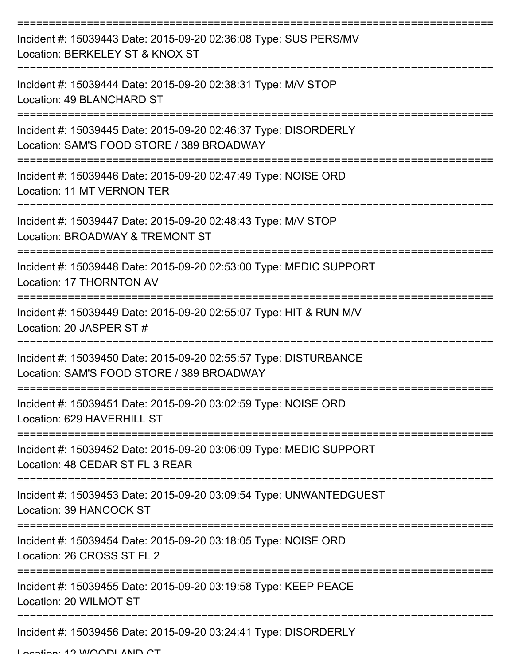| Incident #: 15039443 Date: 2015-09-20 02:36:08 Type: SUS PERS/MV<br>Location: BERKELEY ST & KNOX ST           |
|---------------------------------------------------------------------------------------------------------------|
| Incident #: 15039444 Date: 2015-09-20 02:38:31 Type: M/V STOP<br>Location: 49 BLANCHARD ST                    |
| Incident #: 15039445 Date: 2015-09-20 02:46:37 Type: DISORDERLY<br>Location: SAM'S FOOD STORE / 389 BROADWAY  |
| Incident #: 15039446 Date: 2015-09-20 02:47:49 Type: NOISE ORD<br>Location: 11 MT VERNON TER                  |
| Incident #: 15039447 Date: 2015-09-20 02:48:43 Type: M/V STOP<br>Location: BROADWAY & TREMONT ST              |
| Incident #: 15039448 Date: 2015-09-20 02:53:00 Type: MEDIC SUPPORT<br>Location: 17 THORNTON AV                |
| Incident #: 15039449 Date: 2015-09-20 02:55:07 Type: HIT & RUN M/V<br>Location: 20 JASPER ST #                |
| Incident #: 15039450 Date: 2015-09-20 02:55:57 Type: DISTURBANCE<br>Location: SAM'S FOOD STORE / 389 BROADWAY |
| Incident #: 15039451 Date: 2015-09-20 03:02:59 Type: NOISE ORD<br>Location: 629 HAVERHILL ST                  |
| Incident #: 15039452 Date: 2015-09-20 03:06:09 Type: MEDIC SUPPORT<br>Location: 48 CEDAR ST FL 3 REAR         |
| Incident #: 15039453 Date: 2015-09-20 03:09:54 Type: UNWANTEDGUEST<br>Location: 39 HANCOCK ST                 |
| Incident #: 15039454 Date: 2015-09-20 03:18:05 Type: NOISE ORD<br>Location: 26 CROSS ST FL 2                  |
| Incident #: 15039455 Date: 2015-09-20 03:19:58 Type: KEEP PEACE<br>Location: 20 WILMOT ST                     |
| Incident #: 15039456 Date: 2015-09-20 03:24:41 Type: DISORDERLY                                               |

Location: 12 WOODLAND CT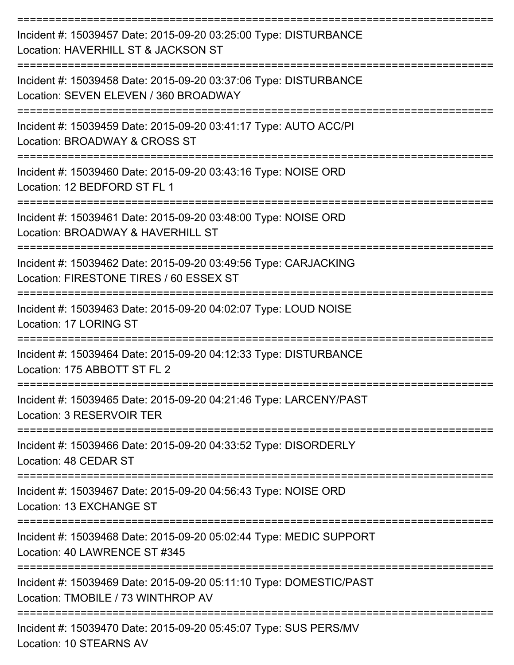| Incident #: 15039457 Date: 2015-09-20 03:25:00 Type: DISTURBANCE<br>Location: HAVERHILL ST & JACKSON ST    |
|------------------------------------------------------------------------------------------------------------|
| Incident #: 15039458 Date: 2015-09-20 03:37:06 Type: DISTURBANCE<br>Location: SEVEN ELEVEN / 360 BROADWAY  |
| Incident #: 15039459 Date: 2015-09-20 03:41:17 Type: AUTO ACC/PI<br>Location: BROADWAY & CROSS ST          |
| Incident #: 15039460 Date: 2015-09-20 03:43:16 Type: NOISE ORD<br>Location: 12 BEDFORD ST FL 1             |
| Incident #: 15039461 Date: 2015-09-20 03:48:00 Type: NOISE ORD<br>Location: BROADWAY & HAVERHILL ST        |
| Incident #: 15039462 Date: 2015-09-20 03:49:56 Type: CARJACKING<br>Location: FIRESTONE TIRES / 60 ESSEX ST |
| Incident #: 15039463 Date: 2015-09-20 04:02:07 Type: LOUD NOISE<br>Location: 17 LORING ST                  |
| Incident #: 15039464 Date: 2015-09-20 04:12:33 Type: DISTURBANCE<br>Location: 175 ABBOTT ST FL 2           |
| Incident #: 15039465 Date: 2015-09-20 04:21:46 Type: LARCENY/PAST<br>Location: 3 RESERVOIR TER             |
| Incident #: 15039466 Date: 2015-09-20 04:33:52 Type: DISORDERLY<br>Location: 48 CEDAR ST                   |
| Incident #: 15039467 Date: 2015-09-20 04:56:43 Type: NOISE ORD<br>Location: 13 EXCHANGE ST                 |
| Incident #: 15039468 Date: 2015-09-20 05:02:44 Type: MEDIC SUPPORT<br>Location: 40 LAWRENCE ST #345        |
| Incident #: 15039469 Date: 2015-09-20 05:11:10 Type: DOMESTIC/PAST<br>Location: TMOBILE / 73 WINTHROP AV   |
| Incident #: 15039470 Date: 2015-09-20 05:45:07 Type: SUS PERS/MV                                           |

Location: 10 STEARNS AV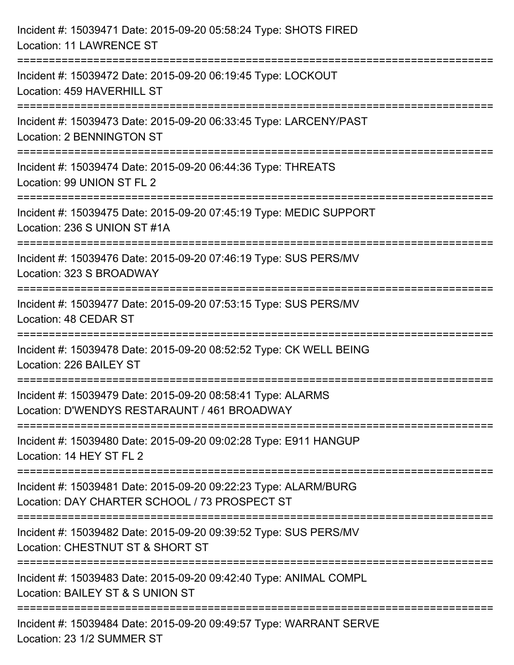| Incident #: 15039471 Date: 2015-09-20 05:58:24 Type: SHOTS FIRED<br><b>Location: 11 LAWRENCE ST</b>                                     |
|-----------------------------------------------------------------------------------------------------------------------------------------|
| ====================================<br>Incident #: 15039472 Date: 2015-09-20 06:19:45 Type: LOCKOUT<br>Location: 459 HAVERHILL ST      |
| Incident #: 15039473 Date: 2015-09-20 06:33:45 Type: LARCENY/PAST<br>Location: 2 BENNINGTON ST                                          |
| Incident #: 15039474 Date: 2015-09-20 06:44:36 Type: THREATS<br>Location: 99 UNION ST FL 2                                              |
| Incident #: 15039475 Date: 2015-09-20 07:45:19 Type: MEDIC SUPPORT<br>Location: 236 S UNION ST #1A                                      |
| Incident #: 15039476 Date: 2015-09-20 07:46:19 Type: SUS PERS/MV<br>Location: 323 S BROADWAY                                            |
| --------------------------<br>Incident #: 15039477 Date: 2015-09-20 07:53:15 Type: SUS PERS/MV<br>Location: 48 CEDAR ST                 |
| Incident #: 15039478 Date: 2015-09-20 08:52:52 Type: CK WELL BEING<br>Location: 226 BAILEY ST                                           |
| Incident #: 15039479 Date: 2015-09-20 08:58:41 Type: ALARMS<br>Location: D'WENDYS RESTARAUNT / 461 BROADWAY                             |
| Incident #: 15039480 Date: 2015-09-20 09:02:28 Type: E911 HANGUP<br>Location: 14 HEY ST FL 2                                            |
| Incident #: 15039481 Date: 2015-09-20 09:22:23 Type: ALARM/BURG<br>Location: DAY CHARTER SCHOOL / 73 PROSPECT ST                        |
| -------------------------------<br>Incident #: 15039482 Date: 2015-09-20 09:39:52 Type: SUS PERS/MV<br>Location: CHESTNUT ST & SHORT ST |
| Incident #: 15039483 Date: 2015-09-20 09:42:40 Type: ANIMAL COMPL<br>Location: BAILEY ST & S UNION ST                                   |
| Incident #: 15039484 Date: 2015-09-20 09:49:57 Type: WARRANT SERVE<br>Location: 23 1/2 SUMMER ST                                        |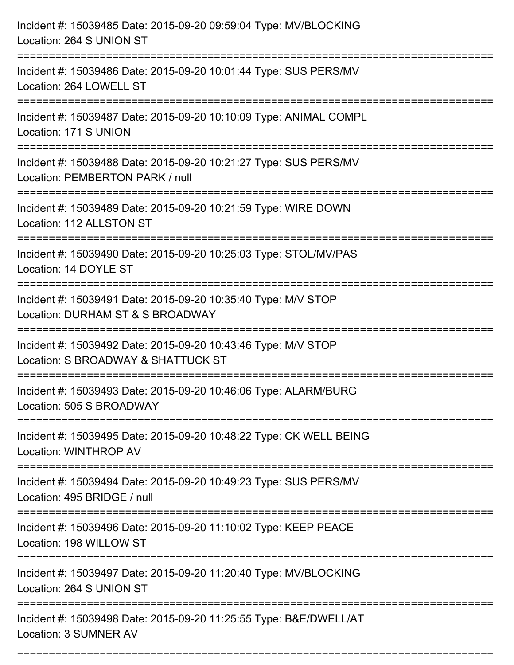| Incident #: 15039485 Date: 2015-09-20 09:59:04 Type: MV/BLOCKING<br>Location: 264 S UNION ST                                         |
|--------------------------------------------------------------------------------------------------------------------------------------|
| Incident #: 15039486 Date: 2015-09-20 10:01:44 Type: SUS PERS/MV<br>Location: 264 LOWELL ST                                          |
| Incident #: 15039487 Date: 2015-09-20 10:10:09 Type: ANIMAL COMPL<br>Location: 171 S UNION                                           |
| Incident #: 15039488 Date: 2015-09-20 10:21:27 Type: SUS PERS/MV<br>Location: PEMBERTON PARK / null                                  |
| Incident #: 15039489 Date: 2015-09-20 10:21:59 Type: WIRE DOWN<br>Location: 112 ALLSTON ST                                           |
| Incident #: 15039490 Date: 2015-09-20 10:25:03 Type: STOL/MV/PAS<br>Location: 14 DOYLE ST                                            |
| Incident #: 15039491 Date: 2015-09-20 10:35:40 Type: M/V STOP<br>Location: DURHAM ST & S BROADWAY<br>=============================== |
| Incident #: 15039492 Date: 2015-09-20 10:43:46 Type: M/V STOP<br>Location: S BROADWAY & SHATTUCK ST                                  |
| Incident #: 15039493 Date: 2015-09-20 10:46:06 Type: ALARM/BURG<br>Location: 505 S BROADWAY                                          |
| Incident #: 15039495 Date: 2015-09-20 10:48:22 Type: CK WELL BEING<br>Location: WINTHROP AV                                          |
| Incident #: 15039494 Date: 2015-09-20 10:49:23 Type: SUS PERS/MV<br>Location: 495 BRIDGE / null                                      |
| Incident #: 15039496 Date: 2015-09-20 11:10:02 Type: KEEP PEACE<br>Location: 198 WILLOW ST                                           |
| Incident #: 15039497 Date: 2015-09-20 11:20:40 Type: MV/BLOCKING<br>Location: 264 S UNION ST                                         |
| Incident #: 15039498 Date: 2015-09-20 11:25:55 Type: B&E/DWELL/AT<br>Location: 3 SUMNER AV                                           |

===========================================================================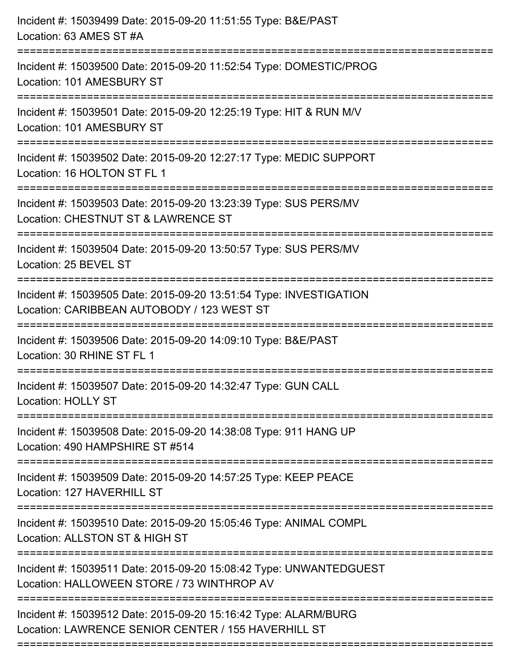| Incident #: 15039499 Date: 2015-09-20 11:51:55 Type: B&E/PAST<br>Location: 63 AMES ST #A                                                          |
|---------------------------------------------------------------------------------------------------------------------------------------------------|
| Incident #: 15039500 Date: 2015-09-20 11:52:54 Type: DOMESTIC/PROG<br>Location: 101 AMESBURY ST                                                   |
| Incident #: 15039501 Date: 2015-09-20 12:25:19 Type: HIT & RUN M/V<br>Location: 101 AMESBURY ST                                                   |
| Incident #: 15039502 Date: 2015-09-20 12:27:17 Type: MEDIC SUPPORT<br>Location: 16 HOLTON ST FL 1                                                 |
| Incident #: 15039503 Date: 2015-09-20 13:23:39 Type: SUS PERS/MV<br>Location: CHESTNUT ST & LAWRENCE ST<br>-------------------------------        |
| Incident #: 15039504 Date: 2015-09-20 13:50:57 Type: SUS PERS/MV<br>Location: 25 BEVEL ST                                                         |
| Incident #: 15039505 Date: 2015-09-20 13:51:54 Type: INVESTIGATION<br>Location: CARIBBEAN AUTOBODY / 123 WEST ST<br>============================= |
| Incident #: 15039506 Date: 2015-09-20 14:09:10 Type: B&E/PAST<br>Location: 30 RHINE ST FL 1                                                       |
| Incident #: 15039507 Date: 2015-09-20 14:32:47 Type: GUN CALL<br>Location: HOLLY ST                                                               |
| Incident #: 15039508 Date: 2015-09-20 14:38:08 Type: 911 HANG UP<br>Location: 490 HAMPSHIRE ST #514                                               |
| Incident #: 15039509 Date: 2015-09-20 14:57:25 Type: KEEP PEACE<br>Location: 127 HAVERHILL ST                                                     |
| Incident #: 15039510 Date: 2015-09-20 15:05:46 Type: ANIMAL COMPL<br>Location: ALLSTON ST & HIGH ST                                               |
| Incident #: 15039511 Date: 2015-09-20 15:08:42 Type: UNWANTEDGUEST<br>Location: HALLOWEEN STORE / 73 WINTHROP AV                                  |
| Incident #: 15039512 Date: 2015-09-20 15:16:42 Type: ALARM/BURG<br>Location: LAWRENCE SENIOR CENTER / 155 HAVERHILL ST                            |
|                                                                                                                                                   |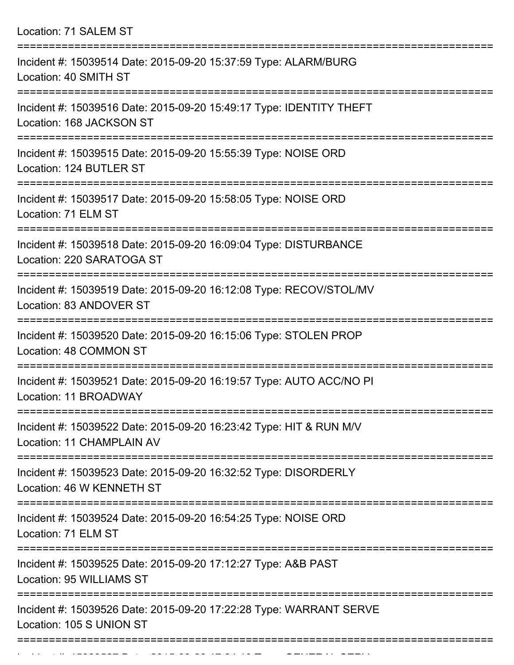| Location: 71 SALEM ST                                                                                                  |
|------------------------------------------------------------------------------------------------------------------------|
| Incident #: 15039514 Date: 2015-09-20 15:37:59 Type: ALARM/BURG<br>Location: 40 SMITH ST                               |
| Incident #: 15039516 Date: 2015-09-20 15:49:17 Type: IDENTITY THEFT<br>Location: 168 JACKSON ST                        |
| Incident #: 15039515 Date: 2015-09-20 15:55:39 Type: NOISE ORD<br>Location: 124 BUTLER ST<br>:======================== |
| Incident #: 15039517 Date: 2015-09-20 15:58:05 Type: NOISE ORD<br>Location: 71 ELM ST                                  |
| Incident #: 15039518 Date: 2015-09-20 16:09:04 Type: DISTURBANCE<br>Location: 220 SARATOGA ST                          |
| Incident #: 15039519 Date: 2015-09-20 16:12:08 Type: RECOV/STOL/MV<br>Location: 83 ANDOVER ST                          |
| Incident #: 15039520 Date: 2015-09-20 16:15:06 Type: STOLEN PROP<br>Location: 48 COMMON ST                             |
| Incident #: 15039521 Date: 2015-09-20 16:19:57 Type: AUTO ACC/NO PI<br>Location: 11 BROADWAY                           |
| Incident #: 15039522 Date: 2015-09-20 16:23:42 Type: HIT & RUN M/V<br>Location: 11 CHAMPLAIN AV                        |
| Incident #: 15039523 Date: 2015-09-20 16:32:52 Type: DISORDERLY<br>Location: 46 W KENNETH ST                           |
| Incident #: 15039524 Date: 2015-09-20 16:54:25 Type: NOISE ORD<br>Location: 71 ELM ST                                  |
| Incident #: 15039525 Date: 2015-09-20 17:12:27 Type: A&B PAST<br>Location: 95 WILLIAMS ST                              |
| Incident #: 15039526 Date: 2015-09-20 17:22:28 Type: WARRANT SERVE<br>Location: 105 S UNION ST                         |
|                                                                                                                        |

Incident #: 15039527 Date: 2015 09 2015 09 2015 09 2015 09 2014 09 2014 09 2014 09 2014 09 2014 09 2014 09 20<br>.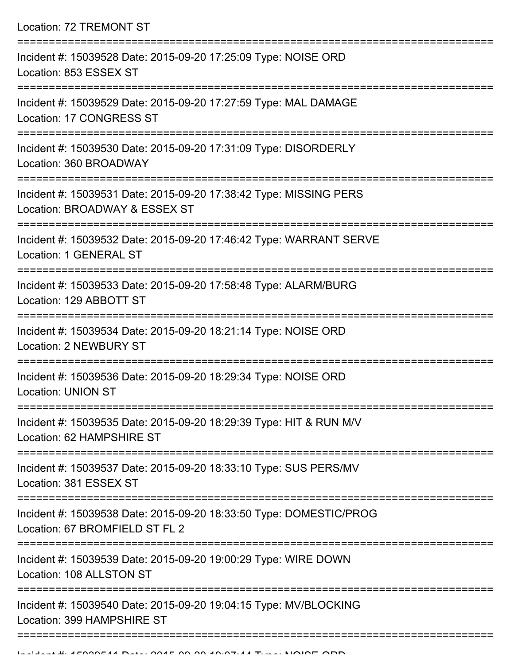Location: 72 TREMONT ST =========================================================================== Incident #: 15039528 Date: 2015-09-20 17:25:09 Type: NOISE ORD Location: 853 ESSEX ST =========================================================================== Incident #: 15039529 Date: 2015-09-20 17:27:59 Type: MAL DAMAGE Location: 17 CONGRESS ST =========================================================================== Incident #: 15039530 Date: 2015-09-20 17:31:09 Type: DISORDERLY Location: 360 BROADWAY =========================================================================== Incident #: 15039531 Date: 2015-09-20 17:38:42 Type: MISSING PERS Location: BROADWAY & ESSEX ST =========================================================================== Incident #: 15039532 Date: 2015-09-20 17:46:42 Type: WARRANT SERVE Location: 1 GENERAL ST =========================================================================== Incident #: 15039533 Date: 2015-09-20 17:58:48 Type: ALARM/BURG Location: 129 ABBOTT ST =========================================================================== Incident #: 15039534 Date: 2015-09-20 18:21:14 Type: NOISE ORD Location: 2 NEWBURY ST =========================================================================== Incident #: 15039536 Date: 2015-09-20 18:29:34 Type: NOISE ORD Location: UNION ST =========================================================================== Incident #: 15039535 Date: 2015-09-20 18:29:39 Type: HIT & RUN M/V Location: 62 HAMPSHIRE ST =========================================================================== Incident #: 15039537 Date: 2015-09-20 18:33:10 Type: SUS PERS/MV Location: 381 ESSEX ST =========================================================================== Incident #: 15039538 Date: 2015-09-20 18:33:50 Type: DOMESTIC/PROG Location: 67 BROMFIELD ST FL 2 =========================================================================== Incident #: 15039539 Date: 2015-09-20 19:00:29 Type: WIRE DOWN Location: 108 ALLSTON ST =========================================================================== Incident #: 15039540 Date: 2015-09-20 19:04:15 Type: MV/BLOCKING Location: 399 HAMPSHIRE ST

===========================================================================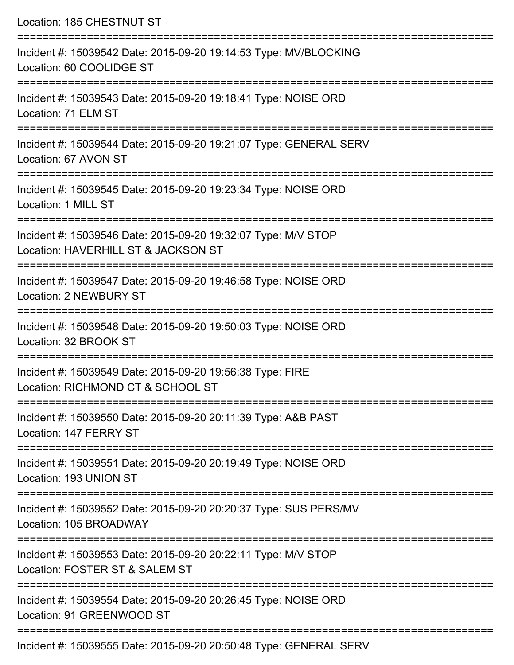| Incident #: 15039542 Date: 2015-09-20 19:14:53 Type: MV/BLOCKING<br>Location: 60 COOLIDGE ST<br>======================================<br>==================================<br>Incident #: 15039543 Date: 2015-09-20 19:18:41 Type: NOISE ORD<br>Location: 71 ELM ST<br>Incident #: 15039544 Date: 2015-09-20 19:21:07 Type: GENERAL SERV<br>Location: 67 AVON ST<br>Incident #: 15039545 Date: 2015-09-20 19:23:34 Type: NOISE ORD<br>Location: 1 MILL ST<br>Incident #: 15039546 Date: 2015-09-20 19:32:07 Type: M/V STOP<br>Location: HAVERHILL ST & JACKSON ST<br>Incident #: 15039547 Date: 2015-09-20 19:46:58 Type: NOISE ORD<br>Location: 2 NEWBURY ST<br>Incident #: 15039548 Date: 2015-09-20 19:50:03 Type: NOISE ORD<br>Location: 32 BROOK ST<br>Incident #: 15039549 Date: 2015-09-20 19:56:38 Type: FIRE<br>Location: RICHMOND CT & SCHOOL ST |
|--------------------------------------------------------------------------------------------------------------------------------------------------------------------------------------------------------------------------------------------------------------------------------------------------------------------------------------------------------------------------------------------------------------------------------------------------------------------------------------------------------------------------------------------------------------------------------------------------------------------------------------------------------------------------------------------------------------------------------------------------------------------------------------------------------------------------------------------------------------|
|                                                                                                                                                                                                                                                                                                                                                                                                                                                                                                                                                                                                                                                                                                                                                                                                                                                              |
|                                                                                                                                                                                                                                                                                                                                                                                                                                                                                                                                                                                                                                                                                                                                                                                                                                                              |
|                                                                                                                                                                                                                                                                                                                                                                                                                                                                                                                                                                                                                                                                                                                                                                                                                                                              |
|                                                                                                                                                                                                                                                                                                                                                                                                                                                                                                                                                                                                                                                                                                                                                                                                                                                              |
|                                                                                                                                                                                                                                                                                                                                                                                                                                                                                                                                                                                                                                                                                                                                                                                                                                                              |
|                                                                                                                                                                                                                                                                                                                                                                                                                                                                                                                                                                                                                                                                                                                                                                                                                                                              |
|                                                                                                                                                                                                                                                                                                                                                                                                                                                                                                                                                                                                                                                                                                                                                                                                                                                              |
|                                                                                                                                                                                                                                                                                                                                                                                                                                                                                                                                                                                                                                                                                                                                                                                                                                                              |
| Incident #: 15039550 Date: 2015-09-20 20:11:39 Type: A&B PAST<br>Location: 147 FERRY ST                                                                                                                                                                                                                                                                                                                                                                                                                                                                                                                                                                                                                                                                                                                                                                      |
| Incident #: 15039551 Date: 2015-09-20 20:19:49 Type: NOISE ORD<br>Location: 193 UNION ST                                                                                                                                                                                                                                                                                                                                                                                                                                                                                                                                                                                                                                                                                                                                                                     |
| Incident #: 15039552 Date: 2015-09-20 20:20:37 Type: SUS PERS/MV<br>Location: 105 BROADWAY                                                                                                                                                                                                                                                                                                                                                                                                                                                                                                                                                                                                                                                                                                                                                                   |
| Incident #: 15039553 Date: 2015-09-20 20:22:11 Type: M/V STOP<br>Location: FOSTER ST & SALEM ST                                                                                                                                                                                                                                                                                                                                                                                                                                                                                                                                                                                                                                                                                                                                                              |
| Incident #: 15039554 Date: 2015-09-20 20:26:45 Type: NOISE ORD<br>Location: 91 GREENWOOD ST                                                                                                                                                                                                                                                                                                                                                                                                                                                                                                                                                                                                                                                                                                                                                                  |

Incident #: 15039555 Date: 2015-09-20 20:50:48 Type: GENERAL SERV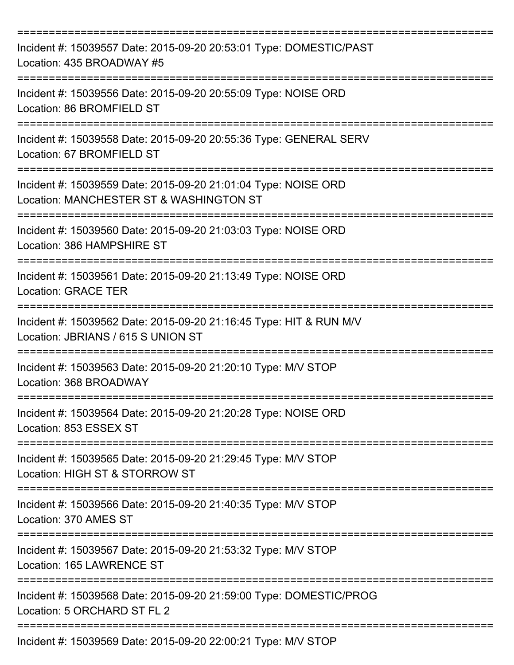| Incident #: 15039557 Date: 2015-09-20 20:53:01 Type: DOMESTIC/PAST<br>Location: 435 BROADWAY #5                |
|----------------------------------------------------------------------------------------------------------------|
| Incident #: 15039556 Date: 2015-09-20 20:55:09 Type: NOISE ORD<br>Location: 86 BROMFIELD ST                    |
| Incident #: 15039558 Date: 2015-09-20 20:55:36 Type: GENERAL SERV<br>Location: 67 BROMFIELD ST                 |
| Incident #: 15039559 Date: 2015-09-20 21:01:04 Type: NOISE ORD<br>Location: MANCHESTER ST & WASHINGTON ST      |
| Incident #: 15039560 Date: 2015-09-20 21:03:03 Type: NOISE ORD<br>Location: 386 HAMPSHIRE ST                   |
| Incident #: 15039561 Date: 2015-09-20 21:13:49 Type: NOISE ORD<br><b>Location: GRACE TER</b>                   |
| Incident #: 15039562 Date: 2015-09-20 21:16:45 Type: HIT & RUN M/V<br>Location: JBRIANS / 615 S UNION ST       |
| Incident #: 15039563 Date: 2015-09-20 21:20:10 Type: M/V STOP<br>Location: 368 BROADWAY                        |
| Incident #: 15039564 Date: 2015-09-20 21:20:28 Type: NOISE ORD<br>Location: 853 ESSEX ST<br>================== |
| Incident #: 15039565 Date: 2015-09-20 21:29:45 Type: M/V STOP<br>Location: HIGH ST & STORROW ST                |
| Incident #: 15039566 Date: 2015-09-20 21:40:35 Type: M/V STOP<br>Location: 370 AMES ST                         |
| Incident #: 15039567 Date: 2015-09-20 21:53:32 Type: M/V STOP<br>Location: 165 LAWRENCE ST                     |
| Incident #: 15039568 Date: 2015-09-20 21:59:00 Type: DOMESTIC/PROG<br>Location: 5 ORCHARD ST FL 2              |
| Incident #: 15039569 Date: 2015-09-20 22:00:21 Type: M/V STOP                                                  |